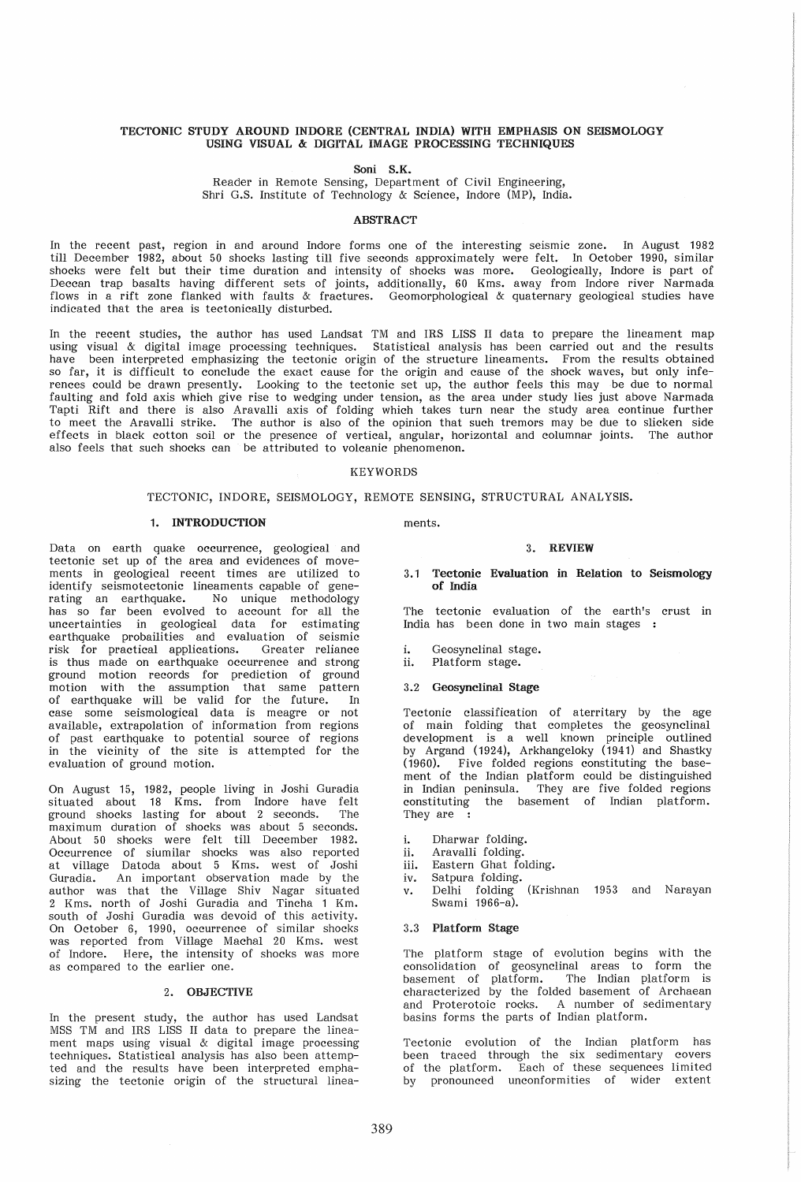## TECTONIC STUDY AROUND INDORE (CENTRAL INDIA) WITH EMPHASIS ON SEISMOLOGY USING VISUAL & DIGITAL IMAGE PROCESSING TECHNIQUES

## Soni S.K.

Reader in Remote Sensing, Department of Civil Engineering, Shri G.S. Institute of Technology & Science, Indore (MP), India.

### **ABSTRACT**

In the recent past, region in and around Indore forms one of the interesting seismic zone. In August 1982 till December 1982, about 50 shocks lasting till five seconds approximately were felt. In October 1990, similar shocks were felt but their time duration and intensity of shocks was more. Geologically, Indore is part of Deccan trap basalts having different sets of joints, additionally, 60 Kms. away from Indore river Narmada flows in a rift zone flanked with faults & fractures. Geomorphological & quaternary geological studies have indicated that the area is tectonically disturbed.

In the recent studies, the author has used Landsat TM and IRS LISS II data to prepare the lineament map using visual & digital image processing techniques. Statistical analysis has been carried out and the results have been interpreted emphasizing the tectonic origin of the structure lineaments. From the results obtained so far, it is difficult to conclude the exact cause for the origin and cause of the shock waves, but only inferences could be drawn presently. Looking to the tectonic set up, the author feels this may be due to normal faulting and fold axis which give rise to wedging under tension, as the area under study lies just above Narmada Tapti Rift and there is also Aravalli axis of folding which takes turn near the study area continue further to meet the Aravalli strike. The author is also of the opinion that such tremors may be due to slicken side effects in black cotton soil or the presence of vertical, angular, horizontal and columnar joints. The author also feels that such shocks can be attributed to volcanic phenomenon.

## KEYWORDS

## TECTONIC, INDORE, SEISMOLOGY, REMOTE SENSING, STRUCTURAL ANALYSIS.

## 1. INTRODUCTION

Data on earth quake occurrence, geological and tectonic set up of the area and evidences of movements in geological recent times are utilized to identify seismotectonic lineaments capable of generating an earthquake. No unique methodology has so far been evolved to account for all the uncertainties in geological data for estimating earthquake probailities and evaluation of seismic risk for practical applications. Greater reliance is thus made on earthquake occurrence and strong ground motion records for prediction of ground motion with the assumption that same pattern of earthquake will be valid for the future. In case some seismological data is meagre or not available, extrapolation of information from regions of past earthquake to potential source of regions in the vicinity of the site is attempted for the evaluation of ground motion.

On August 15, 1982, people living in Joshi Guradia situated about 18 Kms. from Indore have felt ground shocks lasting for about 2 seconds. The maximum duration of shocks was about 5 seconds. About 50 shocks were felt till December 1982. Occurrence of siumilar shocks was also reported at village Datoda about 5 Kms. west of Joshi Guradia. An important observation made by the author was that the Village Shiv Nagar situated 2 Kms. north of Joshi Guradia and Tincha 1 Km. south of Joshi Guradia was devoid of this activity. On October 6, 1990, occurrence of similar shocks was reported from Village Machal 20 Kms. west of Indore. Here, the intensity of shocks was more as compared to the earlier one.

## 2. OBJECTIVE

In the present study, the author has used Landsat MSS TM and IRS LISS II data to prepare the lineament maps using visual & digital image processing techniques. Statistical analysis has also been attempted and the results have been interpreted emphasizing the tectonic origin of the structural lineaments.

### 3. REVIEW

### 3.1 Tectonic Evaluation in Relation to Seismology of India

The tectonic evaluation of the earth's crust in India has been done in two main stages

- i. Geosynclinal stage.<br>ii. Platform stage.
- Platform stage.
- 3.2 Geosynclinal Stage

Tectonic classification of aterritary by the age of main folding that completes the geosynclinal development is a well known principle outlined by Argand (1924), Arkhangeloky (1941) and Shastky (1960). Five folded regions constituting the basement of the Indian platform could be distinguished in Indian peninsula. They are five folded regions constituting the basement of Indian platform. They are :

- i. Dharwar folding.
- ii. Aravalli folding.
- iii. Eastern Ghat fOlding.
- iv. Satpura folding.
- v. Delhi folding (Krishnan 1953 and Narayan Swami 1966-a).

### 3.3 Platform Stage

The platform stage of evolution begins with the consolidation of geosynclinal areas to form the basement of platform. The Indian platform is characterized by the folded basement of Archaean and Proterotoic rocks. A number of sedimentary basins forms the parts of Indian platform.

Tectonic evolution of the Indian platform has been traced through the six sedimentary covers of the platform. Each of these sequences limited by pronounced unconformities of wider extent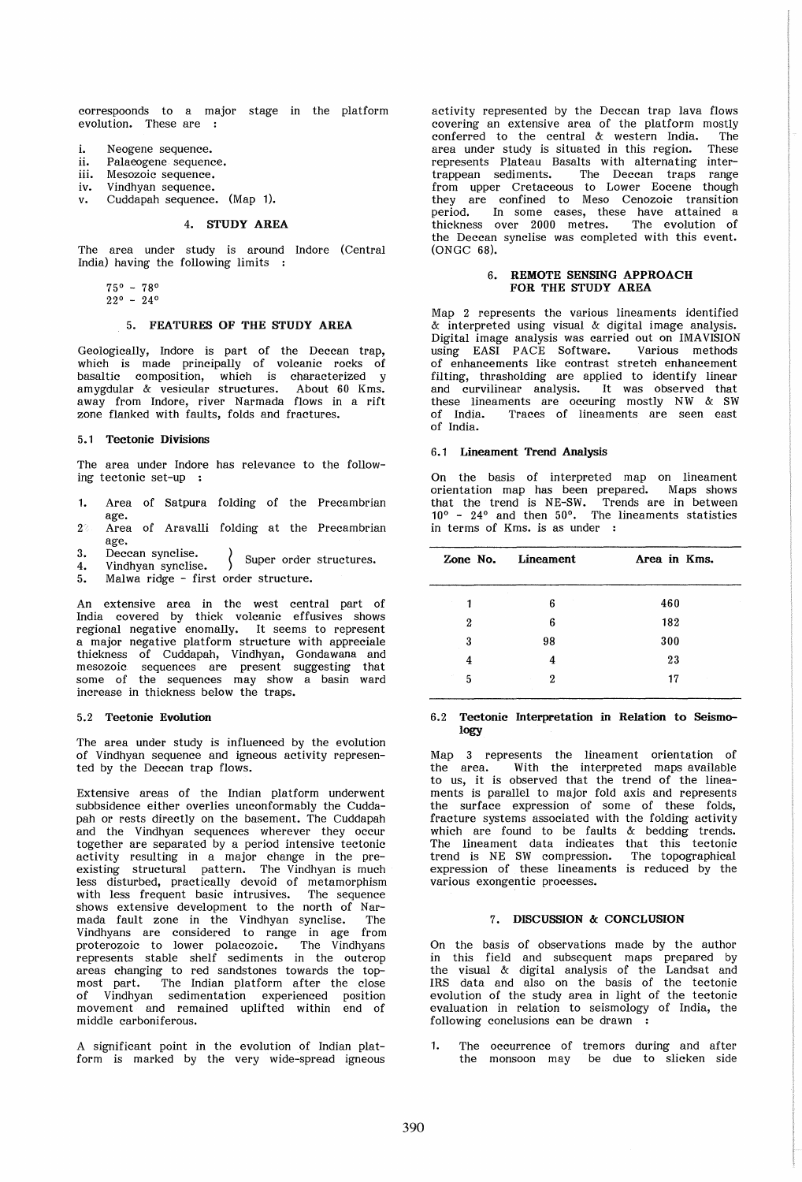correspoonds to a major stage in the platform evolution. These are

- i. Neogene sequence.<br>ii. Palaeogene sequence
- ii. Palaeogene sequence.<br>iii. Mesozoic sequence.
- Mesozoic sequence.<br>Vindhyan sequence.
- 
- iv. Vindhyan sequence.<br>v. Cuddapah sequence. (Map 1).

## 4. STUDY AREA

The area under study is around Indore (Central India) having the following limits

 $75^{\circ}$  - 78<sup>o</sup><br>22<sup>o</sup> - 24<sup>o</sup>

### 5. FEATURES OF THE STUDY AREA

Geologically, Indore is part of the Deccan trap, which is made principally of volcanic rocks of basaltic composition, which is characterized y amygdular & vesicular structures. About 60 Kms. away from Indore, river Narmada flows in a rift zone flanked with faults, folds and fractures.

## 5.1 Tectonic Divisions

The area under Indore has relevance to the following tectonic set-up

- 1. Area of Satpura folding of the Precambrian age.
- 2' Area of Aravalli folding at the Precambrian age.<br>Deccan synclise.
- 3. Deccan synclise.<br>4. Vindhyan synclise. > Super order structures.
- 5. Malwa ridge first order structure.

An extensive area in the west central part of India covered by thick volcanic effusives shows regional negative enomally. It seems to represent a major negative platform structure with appreciale thickness of Cuddapah, Vindhyan, Gondawana and mesozoic sequences are present suggesting that some of the sequences may show a basin ward increase in thickness below the traps.

### 5.2 Tectonic Evolution

The area under study is influenced by the evolution of Vindhyan sequence and igneous activity represented by the Deccan trap flows.

Extensive areas of the Indian platform underwent subbsidence either overlies unconformably the Cuddapah or rests directly on the basement. The Cuddapah and the Vindhyan sequences wherever they occur together are separated by a period intensive tectonic activity resulting in a major change in the preexisting structural pattern. The Vindhyan is much less disturbed, practically devoid of metamorphism with less frequent basic intrusives. The sequence shows extensive development to the north of Narmada fault zone in the Vindhyan synclise. The Vindhyans are considered to range in age from proterozoic to lower polacozoic. The Vindhyans represents stable shelf sediments in the outcrop areas changing to red sandstones towards the topmost part. The Indian platform after the close of Vindhyan sedimentation experienced position movement and remained uplifted within end of middle carboniferous.

A significant point in the evolution of Indian platform is marked by the very wide-spread igneous activity represented by the Deccan trap lava flows covering an extensive area of the platform mostly<br>conferred to the central  $\alpha$  western India. The conferred to the central  $\&$  western India. The area under study is situated in this region. These area under study is situated in this region. represents Plateau Basalts with alternating inter-<br>trappean sediments. The Decean traps range The Deccan traps range from upper Cretaceous to Lower Eocene though they are confined to Meso Cenozoic transition period. In some cases, these have attained a thickness over 2000 metres. The evolution of the Deccan synclise was completed with this event. (ONGC 68).

## 6. REMOTE SENSING APPROACH FOR THE STUDY AREA

Map 2 represents the various lineaments identified & interpreted using visual & digital image analysis. Digital image analysis was carried out on IMAVISION using EASI PACE Software. of enhancements like contrast stretch enhancement filting, thrasholding are applied to identify linear and curvilinear analysis. It was observed that these lineaments are occuring mostly NW & SW of India. Traces of lineaments are seen east of India.

#### 6.1 Lineament Trend Analysis

On the basis of interpreted map on lineament orientation map has been prepared. Maps shows that the trend is NE-SW. Trends are in between 10° - 24° and then 50°. The lineaments statistics in terms of Kms. is as under

|   | Zone No. Lineament | Area in Kms. |
|---|--------------------|--------------|
| 1 | 6                  | 460          |
| 2 | 6                  | 182          |
| 3 | 98                 | 300          |
| 4 | 4                  | 23           |
| 5 | 2                  | 17           |

### 6.2 Tectonic Interpretation in Relation to Seismology

Map 3 represents the lineament orientation of the area. With the interpreted maps available to us, it is observed that the trend of the lineaments is parallel to major fold axis and represents the surface expression of some of these folds, fracture systems associated with the folding activity which are found to be faults & bedding trends. The lineament data indicates that this tectonic trend is NE SW compression. The topographical expression of these lineaments is reduced by the various exongentic processes.

# 7. DISCUSSION & CONCLUSION

On the basis of observations made by the author in this field and subsequent maps prepared by the visual & digital analysis of the Landsat and IRS data and also on the basis of the tectonic evolution of the study area in light of the tectonic evaluation in relation to seismology of India, the following conclusions can be drawn

1. The occurrence of tremors during and after the monsoon may be due to slicken side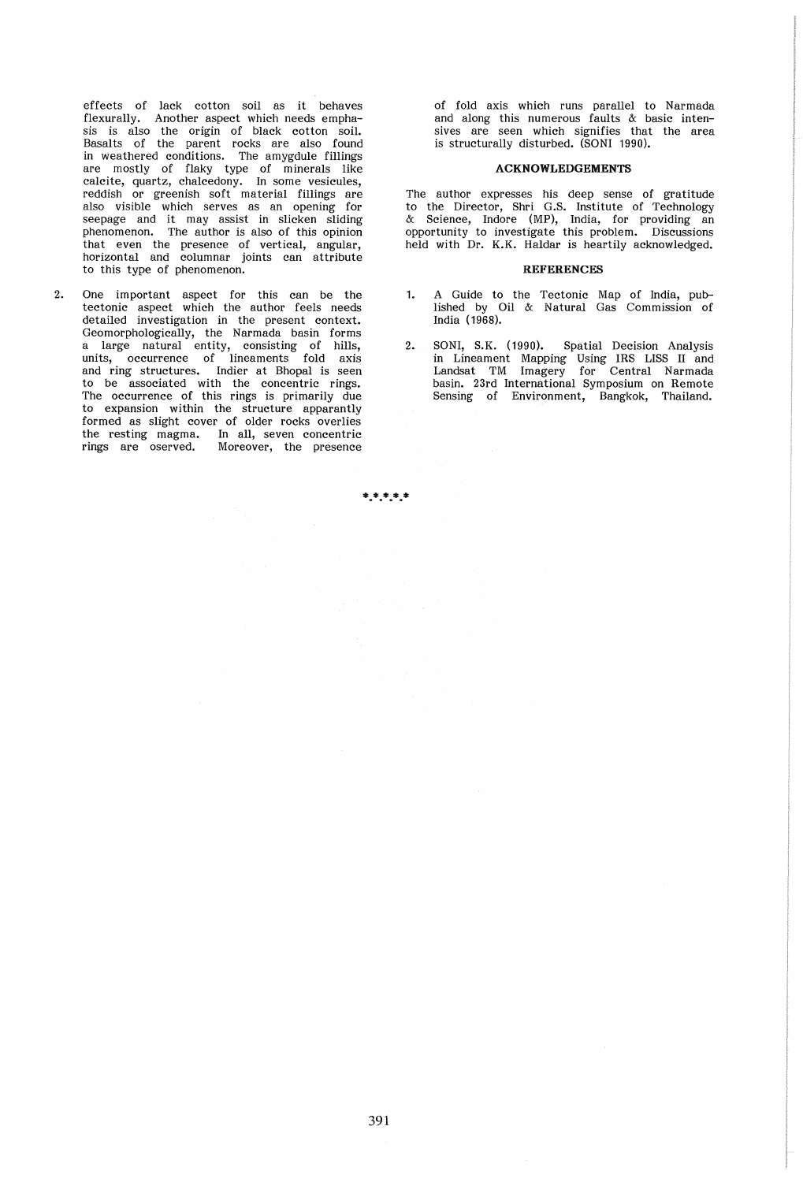effects of lack cotton soil as it behaves flexurally. Another aspect which needs emphasis is also the origin of black cotton soil. Basalts of the parent rocks are also found in weathered conditions. The amygdule fillings are mostly of flaky type of minerals like calcite, quartz, chalcedony. In some vesicules, reddish or greenish soft material fillings are also visible which serves as an opening for seepage and it may assist in slicken sliding phenomenon. The author is also of this opinion that even the presence of vertical, angular, horizontal and columnar joints can attribute to this type of phenomenon.

2. One important aspect for this can be the tectonic aspect which the author feels needs detailed investigation in the present context. Geomorphologically, the Narmada basin forms a large natural entity, consisting of hills, units, occurrence of lineaments fold axis and ring structures. Indier at Bhopal is seen to be associated with the concentric rings. The occurrence of this rings is primarily due to expansion within the structure apparantly formed as slight cover of older rocks overlies the resting magma. In all, seven concentric<br>rings are oserved. Moreover, the presence Moreover, the presence

of fold axis which runs parallel to Narmada and along this numerous faults & basic intensives are seen which signifies that the area is structurally disturbed. (SONI 1990).

### ACKNOWLEDGEMENTS

The author expresses his deep sense of gratitude to the Director, Shri G.S. Institute of Technology & Science, Indore (MP), India, for providing an opportunity to investigate this problem. Discussions held with Dr. K.K. Haldar is heartily acknowledged.

### **REFERENCES**

- 1. A Guide to the Tectonic Map of India, published by Oil & Natural Gas Commission of India (1968).
- 2. SONI, S.K. (1990). Spatial Decision Analysis in Lineament Mapping Using IRS LISS II and Landsat TM Imagery for Central Narmada basin. 23rd International Symposium on Remote Sensing of Environment, Bangkok, Thailand.

\*.\*.\*.\*.\*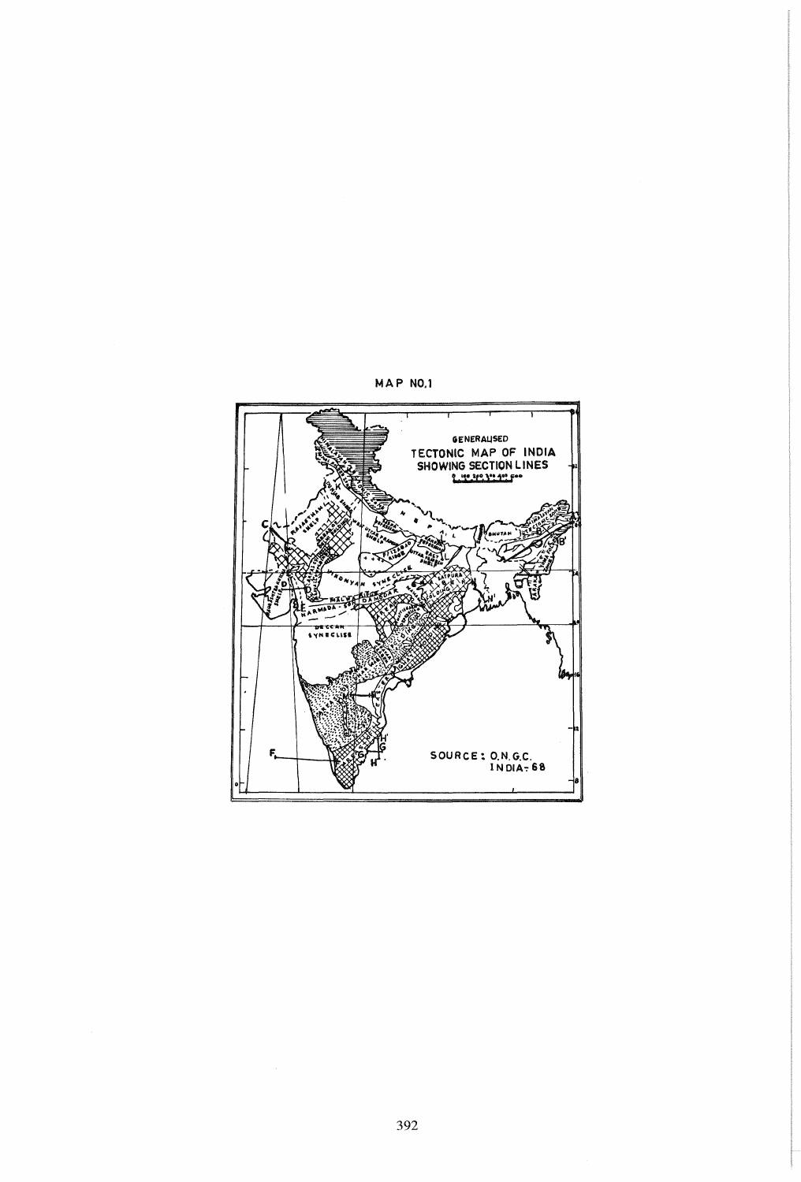

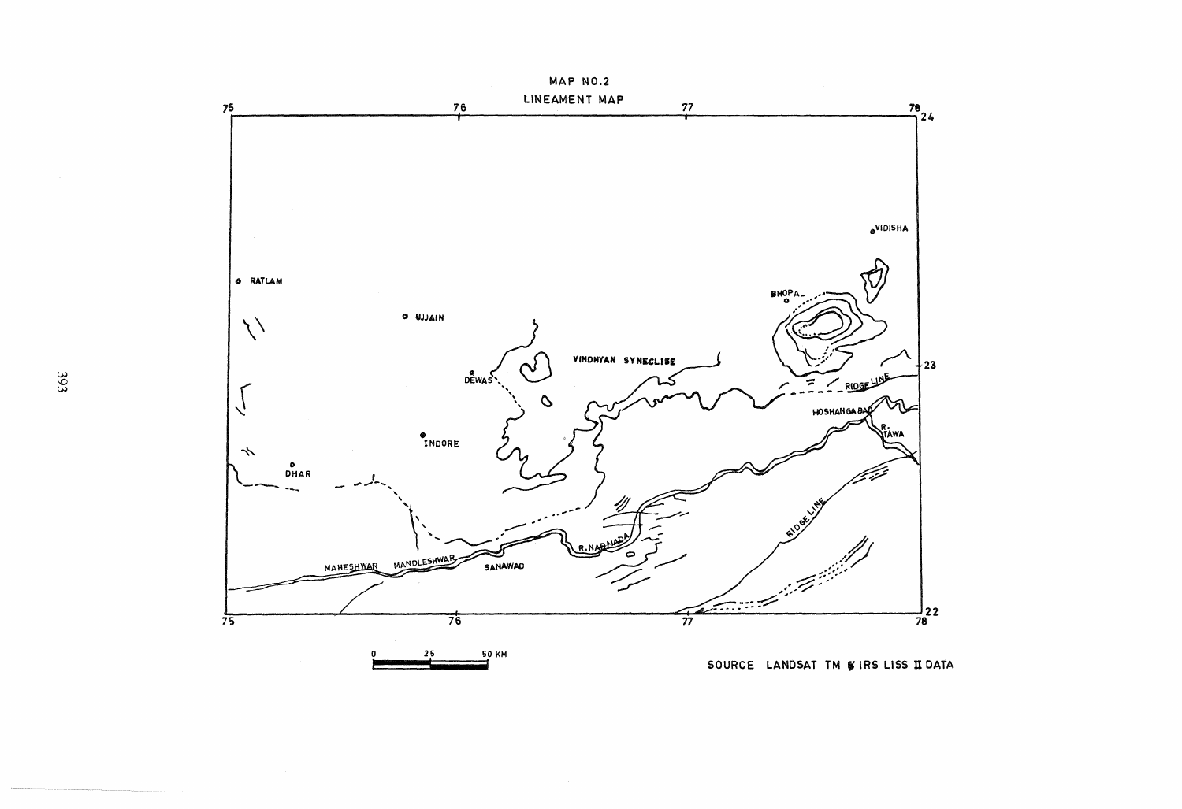